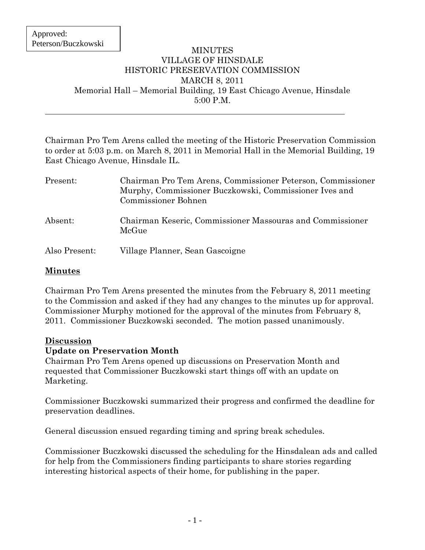#### MINUTES VILLAGE OF HINSDALE HISTORIC PRESERVATION COMMISSION MARCH 8, 2011 Memorial Hall – Memorial Building, 19 East Chicago Avenue, Hinsdale 5:00 P.M.

Chairman Pro Tem Arens called the meeting of the Historic Preservation Commission to order at 5:03 p.m. on March 8, 2011 in Memorial Hall in the Memorial Building, 19 East Chicago Avenue, Hinsdale IL.

| Present:      | Chairman Pro Tem Arens, Commissioner Peterson, Commissioner<br>Murphy, Commissioner Buczkowski, Commissioner Ives and<br><b>Commissioner Bohnen</b> |
|---------------|-----------------------------------------------------------------------------------------------------------------------------------------------------|
| Absent:       | Chairman Keseric, Commissioner Massouras and Commissioner<br>McGue                                                                                  |
| Also Present: | Village Planner, Sean Gascoigne                                                                                                                     |

## **Minutes**

Chairman Pro Tem Arens presented the minutes from the February 8, 2011 meeting to the Commission and asked if they had any changes to the minutes up for approval. Commissioner Murphy motioned for the approval of the minutes from February 8, 2011. Commissioner Buczkowski seconded. The motion passed unanimously.

### **Discussion**

### **Update on Preservation Month**

Chairman Pro Tem Arens opened up discussions on Preservation Month and requested that Commissioner Buczkowski start things off with an update on Marketing.

Commissioner Buczkowski summarized their progress and confirmed the deadline for preservation deadlines.

General discussion ensued regarding timing and spring break schedules.

Commissioner Buczkowski discussed the scheduling for the Hinsdalean ads and called for help from the Commissioners finding participants to share stories regarding interesting historical aspects of their home, for publishing in the paper.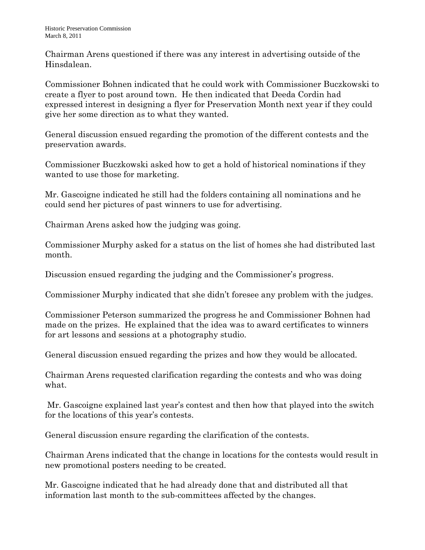Chairman Arens questioned if there was any interest in advertising outside of the Hinsdalean.

Commissioner Bohnen indicated that he could work with Commissioner Buczkowski to create a flyer to post around town. He then indicated that Deeda Cordin had expressed interest in designing a flyer for Preservation Month next year if they could give her some direction as to what they wanted.

General discussion ensued regarding the promotion of the different contests and the preservation awards.

Commissioner Buczkowski asked how to get a hold of historical nominations if they wanted to use those for marketing.

Mr. Gascoigne indicated he still had the folders containing all nominations and he could send her pictures of past winners to use for advertising.

Chairman Arens asked how the judging was going.

Commissioner Murphy asked for a status on the list of homes she had distributed last month.

Discussion ensued regarding the judging and the Commissioner's progress.

Commissioner Murphy indicated that she didn't foresee any problem with the judges.

Commissioner Peterson summarized the progress he and Commissioner Bohnen had made on the prizes. He explained that the idea was to award certificates to winners for art lessons and sessions at a photography studio.

General discussion ensued regarding the prizes and how they would be allocated.

Chairman Arens requested clarification regarding the contests and who was doing what.

Mr. Gascoigne explained last year's contest and then how that played into the switch for the locations of this year's contests.

General discussion ensure regarding the clarification of the contests.

Chairman Arens indicated that the change in locations for the contests would result in new promotional posters needing to be created.

Mr. Gascoigne indicated that he had already done that and distributed all that information last month to the sub-committees affected by the changes.